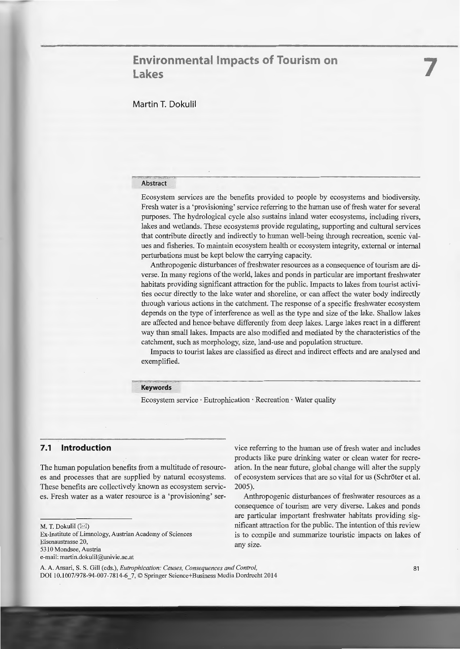# **Environmental Impacts of Tourism on Lakes**

# Martin **T.** Dokulil

### Abstract

Ecosystem services are the benefits provided to people by ecosystems and biodiversity. Fresh water is a 'provisioning' service referring to the human use of fresh water for several purposes. The hydrological cycle also sustains inland water ecosystems, including rivers, lakes and wetlands. These ecosystems provide regulating, supporting and cultural services that contribute directly and indirectly to human well-being through recreation, seenie values and fisheries. To maintain ecosystem health or ecosystem integrity, extemal or intemal perturbations must be kept below the carrying capacity.

Anthropogenic disturbances of freshwater resources as a consequence of tourism are diverse. In many regions of the world, lakes and ponds in particular are important freshwater habitats providing significant attraction for the public. Impacts to lakes from tourist activities occur directly to the lake water and shoreline, or can affect the water body indirectly through various actions in the catchment. The response of a specific freshwater ecosystem depends on the type of interference as well as the type and size of the lake. Shallow lakes are affected and hence behave differently from deep lakes. Large lakes react in a different way than small lakes. Impacts are also modified and mediated by the characteristics of the catchment, such as morphology, size, land-use and population structure.

Impacts to tourist lakes are classified as direct and indirect effects and are analysed and exemplified.

### **Keywords**

Ecosystem service · Eutrophication · Recreation · Water quality

### **7.1 lntroduction**

The human population benefits from a multitude of resources and processes that are supplied by natural ecosystems. These benefits are collectively known as ecosystem services. Fresh water as a water resource is a 'provisioning' ser-

M. T. Dokulil  $(X)$ 

Ex-Institute of Limnology, Austrian Academy of Sciences Eisenaustrasse 20, 5310 Mondsee, Austria e-mail: martin.dokulil@univie.ac.a

vice referring to the human use of fresh water and includes products like pure drinking water or clean water for recreation. In the near future, global change will alter the supply of ecosystem services that are so vital for us (Schröter et al. 2005).

Anthropogenie disturbances of freshwater resources as a consequence of tourism are very diverse. Lakes and ponds are particular important freshwater habitats providing significant attraction for the public. The intention of this review is to compile and summarize touristic impacts on lakes of any size.

A. A. Ansari, S. S. Gill (eds.), *Eutrophication: Causes, Consequences and Control,*  DOI 10.1007/978-94-007-7814-6\_7, © Springer Science+Business Media Dordrecht 2014 **7**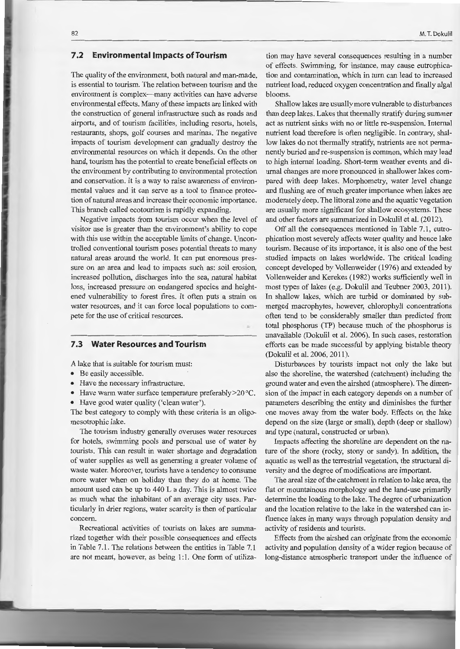## **7.2 Environmentallmpacts ofTourism**

The quality of the environment, both natural and man-made, is essential to tourism. The relation between tourism and the environment is complex-many activities can have adverse environmental effects. Many of these impacts are linked with the construction of general infrastructure such as roads and airports, and of tourism facilities, including resorts, hotels, restaurants, shops, golf courses and marinas. The negative impacts of tourism development can gradually destroy the environmental resources on which it depends. On the other hand, tourism has the potential to create beneficial effects on the environment by contributing to environmental protection and conservation. It is a way to raise awareness of environmental values and it can serve as a tool to frnance protection of natural areas and increase their economic importance. This branch called ecotourism is rapidly expanding.

Negative impacts from tourism occur when the level of visitor use is greater than the environment's ability to cope with this use within the acceptable limits of change. Uncontrolled conventional tourism poses potential threats to many natural areas around the world. It can put enormaus pressure on an area and lead to impacts such as: soil erosion, increased pollution, discharges into the sea, natural habitat loss, increased pressure on endaugered species and heightened vulnerability to forest fires. It often puts a strain on water resources, and it can force local populations to compete for the use of critical resources.

### **7.3 Water Resources and Tourism**

A lake that is suitable for tourism must:

- Be easily accessible.
- Have the necessary infrastructure.
- Have warm water surface temperature preferably > 20 °C.
- Have good water quality ('clean water').

The best category to comply with these criteria is an oligomesotrophic lake.

The tourism industry generally overuses water resources for hotels, swimming pools and personal use of water by tourists. This can result in water shortage and degradation of water supplies as well as generating a greater volume of waste water. Moreover, tourists have a tendency to consume more water when on holiday than they do at home. The amount used can be up to 440 L a day. This is almost twice as much what the inhabitant of an average city uses. Particularly in drier regions, water scarcity is then of particular concem.

Recreational activities of tourists on lakes are summarized together with their possible consequences and effects in Table 7.1. The relations between the entities in Table 7.1 are not meant, however, as being 1:1. One form of utiliza-

tion may have several consequences resulting in a number of effects. Swimming, for instance, may cause eutrophication and contamination, which in turn can lead to increased nutrient load, reduced oxygen concentration and finally algal blooms.

Shallow lakes are usually more vulnerable to disturbances than deep lakes. Lakes that thermally stratify during surnmer act as nutrient sinks with no or little re-suspension. Intemal nutrient load therefore is often negligible. In contrary, shallow lakes do not thermally stratify, nutrients are not permanently buried and re-suspension is common, which may lead to high intemal loading. Short-term weather events and diumal changes are more pronounced in shallower lakes compared with deep lakes. Morphometry, water level change and flushing are of much greater importance when lakes are moderately deep. The littoral zone and the aquatic vegetation are usually more significant for shallow ecosystems. These and other factors are summarized in Dokulil et al. (2012).

Off all the consequences mentioned in Table 7.1, eutrophication most severely affects water quality and hence lake tourism. Because of its importance, it is also one of the best studied impacts on lakes worldwide. The critical loading concept developed by Vollenweider (1976) and extended by Vollenweider and Kerekes (1982) works sufficiently well in most types of lakes (e.g. Dokulil and Teubner 2003, 2011). In shallow lakes, which are turbid or dominated by submerged macrophytes, however, chlorophyll concentrations often tend to be considerably smaller than predicted from total phosphorus (TP) because much of the phosphorus is unavailable (Dokulil et al. 2006). In such cases, restoration efforts can be made successful by applying bistable theory (Dokulil et al. 2006, 2011).

Disturbances by tourists impact not only the lake but also the shoreline, the watershed ( catchment) including the ground water and even the airshed ( atmosphere ). The dimension of the impact in each category depends on a number of parameters describing the entity and diminishes the further one moves away from the water body. Effects on the lake depend on the size (large or small), depth (deep or shallow) and type (natural, constructed or urban).

Impacts affecting the shoreline are dependent on the nature of the shore (rocky, stony or sandy). In addition, the aquatic as well as the terrestrial vegetation, the structural diversity and the degree of modifications are important.

The areal size of the catchment in relation to lake area, the flat or mountainous morphology and the land-use primarily determine the loading to the lake. The degree of urbanization and the location relative to the lake in the watershed can influence lakes in many ways through population density and activity of residents and tourists.

Effects from the airshed can originate from the economic activity and population density of a wider region because of long-distance atmospheric transport under the influence of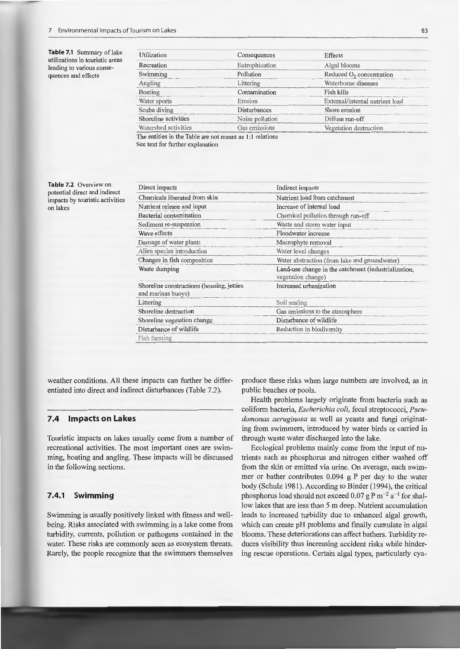Table 7.1 Summary of lake utilizations in touristic areas leading to various consequences and effects

| Utilization          | Consequences    | Effects                         |  |  |
|----------------------|-----------------|---------------------------------|--|--|
| Recreation           | Eutrophication  | Algal blooms                    |  |  |
| Swimming             | Pollution       | Reduced $O_2$ concentration     |  |  |
| Angling              | Littering       | Waterborne diseases             |  |  |
| Boating              | Contamination   | Fish kills                      |  |  |
| Water sports         | Erosion         | External/internal nutrient load |  |  |
| Scuba diving         | Disturbances    | Shore erosion                   |  |  |
| Shoreline activities | Noise pollution | Diffuse run-off                 |  |  |
| Watershed activities | Gas emissions   | Vegetation destruction          |  |  |

See text for further explanation

Table 7.2 Overview on potential direct and indirect impacts by touristic activities on lakes

| Nutrient load from catchment                                               |  |  |  |
|----------------------------------------------------------------------------|--|--|--|
| Increase of internal load                                                  |  |  |  |
| Chemical pollution through run-off                                         |  |  |  |
| Waste and storm water input                                                |  |  |  |
| Floodwater increase                                                        |  |  |  |
| Macrophyte removal                                                         |  |  |  |
| Water level changes                                                        |  |  |  |
| Water abstraction (from lake and groundwater)                              |  |  |  |
| Land-use change in the catchment (industrialization,<br>vegetation change) |  |  |  |
| Increased urbanization                                                     |  |  |  |
| Soil sealing                                                               |  |  |  |
| Gas emissions to the atmosphere                                            |  |  |  |
| Disturbance of wildlife                                                    |  |  |  |
| Reduction in biodiversity                                                  |  |  |  |
|                                                                            |  |  |  |
|                                                                            |  |  |  |

weather conditions. All these impacts can further be differentiated into direct and indirect disturbances (Table 7.2).

#### $7.4$ **Impacts on Lakes**

Touristic impacts on lakes usually come from a number of recreational activities. The most important ones are swimming, boating and angling. These impacts will be discussed in the following sections.

#### $7.4.1$ **Swimming**

Swimming is usually positively linked with fitness and wellbeing. Risks associated with swimming in a lake come from turbidity, currents, pollution or pathogens contained in the water. These risks are commonly seen as ecosystem threats. Rarely, the people recognize that the swimmers themselves produce these risks when large numbers are involved, as in public beaches or pools.

Health problems largely originate from bacteria such as coliform bacteria, Escherichia coli, fecal streptococci, Pseudomonas aeruginosa as well as yeasts and fungi originating from swimmers, introduced by water birds or carried in through waste water discharged into the lake.

Ecological problems mainly come from the input of nutrients such as phosphorus and nitrogen either washed off from the skin or emitted via urine. On average, each swimmer or bather contributes 0.094 g P per day to the water body (Schulz 1981). According to Binder (1994), the critical phosphorus load should not exceed 0.07 g P m<sup>-2</sup> a<sup>-1</sup> for shallow lakes that are less than 5 m deep. Nutrient accumulation leads to increased turbidity due to enhanced algal growth, which can create pH problems and finally cumulate in algal blooms. These deteriorations can affect bathers. Turbidity reduces visibility thus increasing accident risks while hindering rescue operations. Certain algal types, particularly cya-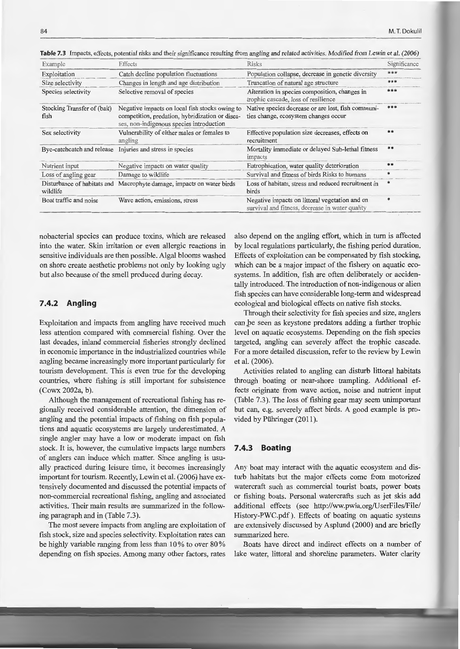| Example                                                  | Effects                                                                                                                                       | <b>Risks</b>                                                                                      | Significance |
|----------------------------------------------------------|-----------------------------------------------------------------------------------------------------------------------------------------------|---------------------------------------------------------------------------------------------------|--------------|
| Exploitation                                             | Catch decline population fluctuations                                                                                                         | Population collapse, decrease in genetic diversity                                                | ***          |
| Size selectivity                                         | Changes in length and age distribution                                                                                                        | Truncation of natural age structure                                                               | ***          |
| Species selectivity                                      | Selective removal of species                                                                                                                  | Alteration in species composition, changes in<br>trophic cascade, loss of resilience              | ***          |
| Stocking Transfer of (bait)<br>fish                      | Negative impacts on local fish stocks owing to<br>competition, predation, hybridization or disea-<br>ses, non-indigenous species introduction | Native species decrease or are lost, fish communi-<br>ties change, ecosystem changes occur        |              |
| Sex selectivity                                          | Vulnerability of either males or females to<br>angling                                                                                        | Effective population size decreases, effects on<br>recruitment                                    | $**$         |
| Bye-catchcatch and release                               | Injuries and stress in species                                                                                                                | Mortality immediate or delayed Sub-lethal fitness<br>impacts                                      | **           |
| Nutrient input                                           | Negative impacts on water quality                                                                                                             | Eutrophication, water quality deterioration                                                       | $**$         |
| Loss of angling gear                                     | Damage to wildlife                                                                                                                            | Survival and fitness of birds Risks to humans                                                     |              |
| Disturbance of habitats and<br>wildlife                  | Macrophyte damage, impacts on water birds                                                                                                     | Loss of habitats, stress and reduced recruitment in<br>birds                                      |              |
| Wave action, emissions, stress<br>Boat traffic and noise |                                                                                                                                               | Negative impacts on littoral vegetation and on<br>survival and fitness, decrease in water quality | *            |

Table 7.3 Impacts, effects, potential risks and their significance resulting from angling and related activities. Modified from Lewin et al. (2006)

nobacterial species can produce toxins, which are released into the water. Skin irritation or even allergic reactions in sensitive individuals are then possible. Algal blooms washed on shore create aesthetic problems not only by looking ugly but also because of the smell produced during decay.

### 7.4.2 Angling

Exploitation and impacts from angling have received much less attention compared with commercial fishing. Over the last decades, inland commercial fisheries strongly declined in economic importance in the industrialized countries while angling became increasingly more important particularly for tourism development. This is even true for the developing countries, where fishing is still important for subsistence (Cowx 2002a, b).

Although the management of recreational fishing has regionally received considerable attention, the dimension of angling and the potential impacts of fishing on fish populations and aquatic ecosystems are largely underestimated. A single angler may have a low or moderate impact on fish stock. It is, however, the cumulative impacts large numbers of anglers can induce which matter. Since angling is usually practiced during leisure time, it becomes increasingly important for tourism. Recently, Lewin et al. (2006) have extensively documented and discussed the potential impacts of non-commercial recreational fishing, angling and associated activities. Their main results are summarized in the following paragraph and in (Table 7.3).

The most severe impacts from angling are exploitation of fish stock, size and species selectivity. Exploitation rates can be highly variable ranging from less than 10% to over 80% depending on fish species. Among many other factors, rates

also depend on the angling effort, which in turn is affected by local regulations particularly, the fishing period duration. Effects of exploitation can be compensated by fish stocking, which can be a major impact of the fishery on aquatic ecosystems. In addition, fish are often deliberately or accidentally introduced. The introduction of non-indigenous or alien fish species can have considerable long-term and widespread ecological and biological effects on native fish stocks.

Through their selectivity for fish species and size, anglers can be seen as keystone predators adding a further trophic level on aquatic ecosystems. Depending on the fish species targeted, angling can severely affect the trophic cascade. For a more detailed discussion, refer to the review by Lewin et al. (2006).

Activities related to angling can disturb littoral habitats through boating or near-shore trampling. Additional effects originate from wave action, noise and nutrient input (Table 7.3). The loss of fishing gear may seem unimportant but can, e.g. severely affect birds. A good example is provided by Pühringer (2011).

#### $7.4.3$ **Boating**

Any boat may interact with the aquatic ecosystem and disturb habitats but the major effects come from motorized watercraft such as commercial tourist boats, power boats or fishing boats. Personal watercrafts such as jet skis add additional effects (see http://ww.pwia.org/UserFiles/File/ History-PWC.pdf). Effects of boating on aquatic systems are extensively discussed by Asplund (2000) and are briefly summarized here.

Boats have direct and indirect effects on a number of lake water, littoral and shoreline parameters. Water clarity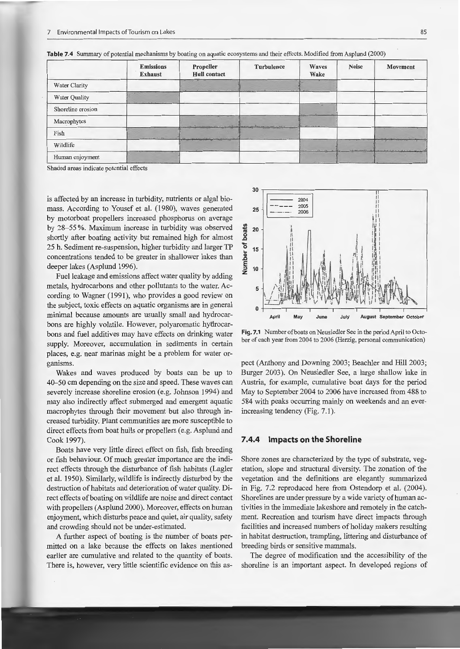|                   | <b>Emissions</b><br><b>Exhaust</b>                 | Propeller<br><b>Hull</b> contact               | Turbulence | Waves<br>Wake  | <b>Noise</b> | <b>Movement</b>                      |
|-------------------|----------------------------------------------------|------------------------------------------------|------------|----------------|--------------|--------------------------------------|
| Water Clarity     |                                                    | a with charge and a homogeneous comment of the |            |                |              |                                      |
| Water Quality     | The Committee of the Committee of the Committee of |                                                |            |                |              |                                      |
| Shoreline erosion |                                                    |                                                |            |                |              |                                      |
| Macrophytes       |                                                    | was a thomas commencer when you a which was    |            | to are over my |              |                                      |
| Fish              | $-1$ , $-1$ , $-1$ , $-1$ , $-1$ , $-1$            |                                                |            |                |              | <b>Service Communication</b>         |
| Wildlife          |                                                    |                                                |            |                | FIRST FEART  | A.C. A.W. H. H. H. H. H. H. H. H. H. |
| Human enjoyment   |                                                    |                                                |            |                |              |                                      |

**Table 7.4** Summary of potential mechanisms by boating on aquatic ecosystems and their effects. Modified from Asplund (2000)

Shaded areas indicate potential effects

is affected by an increase in turbidity, nutrients or algal biomass. According to Yousef et al. (1980), waves generated by motorboat propellers increased phosphorus on average by 28-55%. Maximum increase in turbidity was observed shortly after boating activity but remained high for almost 25 h. Sediment re-suspension, higher turbidity and larger TP concentrations tended to be greater in shallower lakes than deeper lakes (Asplund 1996).

Fuel leakage and emissions affect water quality by adding metals, hydrocarbons and other pollutants to the water. According to Wagner (1991), who provides a good review on the subject, toxic effects on aquatic organisms are in general minimal because amounts are usually small and hydrocarbons are highly volatile. However, polyaromatic hydrocarbons and fuel additives may have effects on drinking water supply. Moreover, accumulation in sediments in certain places, e.g. near marinas might be a problem for water organisms.

Wakes and waves produced by boats can be up to 40-50 cm depending on the size and speed. These waves can severely increase shoreline erosion (e.g. Johnson 1994) and may also indirectly affect submerged and emergent aquatic macrophytes through their movement but also through increased turbidity. Plant communities are more susceptible to direct effects from boat hulls or propellers (e.g. Asplund and Cook 1997).

Boats have very little direct effect on fish, fish breeding or fish behaviour. Of much greater importance are the indirect effects through the disturbance of fish habitats (Lagler et al. 1950). Similarly, wildlife is indirectly disturbed by the destruction of habitats and deterioration of water quality. Direct effects of boating on wildlife are noise and direct contact with propellers (Asplund 2000). Moreover, effects on human enjoyment, which disturbs peace and quiet, air quality, safety and crowding should not be under-estimated.

A further aspect of boating is the number of boats permitted on a lake because the effects on lakes mentioned earlier are cumulative and related to the quantity of boats. There is, however, very little scientific evidence on this as-



**Fig. 7.1** Number of boats on Neusiedler See in the period April to October of each year from 2004 to 2006 (Herzig, personal communication)

pect (Anthony and Downing 2003; Beachler and Hill 2003; Burger 2003). On Neusiedler See, a large shallow lake in Austria, for example, cumulative boat days for the period May to September 2004 to 2006 have increased from 488 to 584 with peaks occurring mainly on weekends and an everincreasing tendency (Fig. 7.1 ).

### **7 .4.4 Impacts on the Shoreline**

Shore zones are characterized by the type of substrate, vegetation, slope and structural diversity. The zonation of the vegetation and the defmitions are elegantly summarized in Fig. 7.2 reproduced here from Ostendorp et al. (2004). Shorelines are under pressure by a wide variety of human activities in the immediate lakeshore and remotely in the catchment. Recreation and tourism have direct impacts through facilities and increased numbers of holiday makers resulting in habitat destruction, trampling, littering and disturbance of breeding birds or sensitive mammals.

The degree of modification and the accessibility of the shoreline is an important aspect. In developed regions of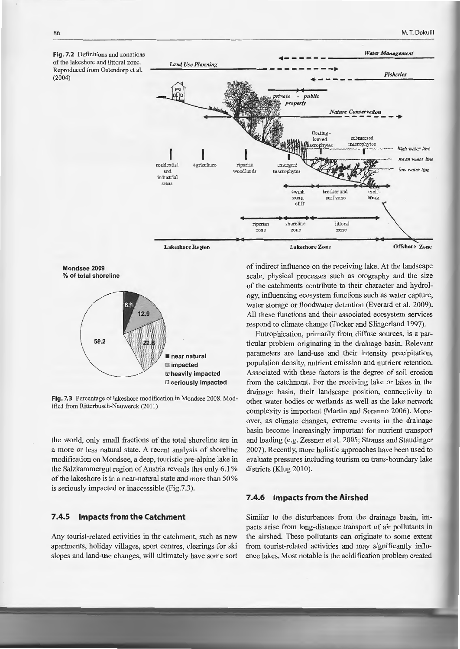



Fig. 7.3 Percentage of lakeshore modification in Mondsee 2008. Modified from Ritterbusch-Nauwerck (2011)

the world, only small fractions of the total shoreline are in a more or less natural state. A recent analysis of shoreline modification on Mondsee, a deep, touristic pre-alpine lake in the Salzkammergut region of Austria reveals that only 6.1% of the lakeshore is in a near-natural state and more than 50% is seriously impacted or inaccessible (Fig.7.3).

### **7 .4.5 Impacts from the Catchment**

Any tourist-related activities in the catchment, such as new apartments, holiday villages, sport centres, clearings for ski slopes and land-use changes, will ultimately have some sort ogy, influencing ecosystem functions such as water capture, water storage or floodwater detention (Everard et al. 2009). All these functions and their associated ecosystem services respond to climate change (Tucker and Slingerland 1997).

Eutrophication, primarily from diffuse sources, is a particular problern originating in the drainage basin. Relevant parameters are land-use and their intensity precipitation, population density, nutrient emission and nutrient retention. Associated with these factors is the degree of soil erosion from the catchment. For the receiving lake or lakes in the drainage basin, their landscape position, connectivity to other water bodies or wetlands as weil as the lake network complexity is important (Martin and Soranno 2006). Moreover, as climate changes, extreme events in the drainage basin become increasingly important for nutrient transport and loading (e.g. Zessner et al. 2005; Strauss and Staudinger 2007). Recently, more holistic approaches have been used to evaluate pressures including tourism on trans-boundary lake districts (Klug 2010).

### **7 .4.6 Impacts from the Airshed**

Similar to the disturbances from the drainage basin, impacts arise from long-distance transport of air pollutants in the airshed. These pollutants can originate to some extent from tourist-related activities and may significantly influence lakes. Most notable is the acidification problem created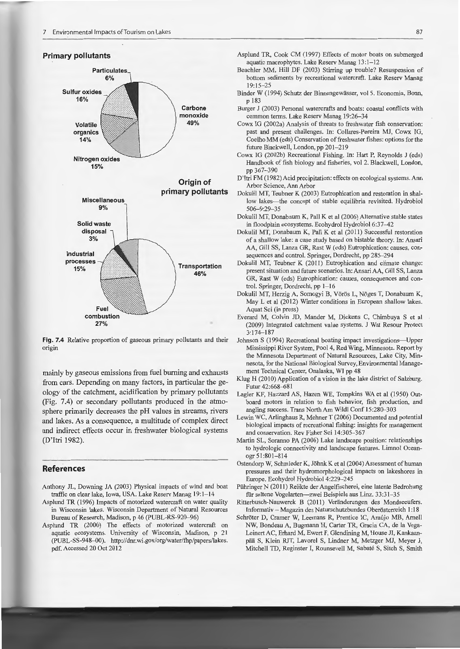### **Primary pollutants**



**Fig. 7.4** Relative proportion of gaseous primary pollutants and their origin

mainly by gaseous emissions from fuel burning and exhausts from cars. Depending on many factors, in particular the geology of the catchment, acidification by primary pollutants (Fig. 7.4) or secondary pollutants produced in the atmosphere primarily decreases the pH values in streams, rivers and lakes. As a consequence, a multitude of complex direct and indirect effects occur in freshwater biological systems (D'Itri 1982).

### **References**

- Anthony JL, Downing JA (2003) Physical impacts of wind and boat traffic on clear Iake, lowa, USA. Lake Reserv Manag 19:1-14
- Asplund TR (1996) Impacts of motorized watercraft on water quality in Wisconsin lakes. Wisconsin Department of Natural Resources Bureau of Research, Madison, p 46 (PUBL-RS-920-96)
- Asplund TR (2000) The effects of motorized watercraft on aquatic ecosystems. University of Wisconsin, Madison, p 21 (PUBL-SS-948-00). http://dnr.wi.gov/org/water/fhp/papers/lakes. pdf. Accessed 20 Oct 2012
- Asplund TR, Cook CM (1997) Effects of motor boats on submerged aquatic macrophytes. Lake Reserv Manag 13:1-12
- Beachler MM, Hili DF (2003) Stirring up trouble? Resuspension of bottom sediments by recreational watercraft. Lake Reserv Manag 19:15-25
- Binder W (1994) Schutz der Binnengewässer, vol 5. Economia, Bonn, p 183
- Burger J (2003) Personal watercrafts and boats: coastal conflicts with common terms. Lake Reserv Manag 19:26-34
- Cowx IG (2002a) Analysis of threats to freshwater fish conservation: past and present challenges. In: Collares-Pereira MJ, Cowx IG, Coelho MM (eds) Conservation of freshwater fishes: options for the future Blackwell, London, pp 201-219
- Cowx IG (2002b) Recreational Fishing. In: Hart P, Reynolds J (eds) Handbook of fish biology and fisheries, vol 2. Blackwell, London, pp 367- 390
- D'Itri FM ( 1982) Acid precipitation: effects on ecological systems. Ann Arbor Science, Ann Arbor
- Dokulil MT, Teubner K (2003) Eutrophication and restoration in shallow lakes-the concept of stable equilibria revisited. Hydrobiol 506-9:29-35
- Dokulil MT, Donabaum K, Pali K et al (2006) Alternative stable states in floodplain ecosystems. Ecohydrol Hydrobiol 6:37-42
- Dokulil MT, Donabaum K, Pali K et al (2011) Successful restoration of a shallow Iake: a case study based on bistable theory. In: Ansari AA, Gill SS, Lanza GR, Rast W (eds) Eutrophication: causes, consequences and control. Springer, Dordrecht, pp 285-294
- Dokulil MT, Teubner K (2011) Eutrophication and climate change: present situation and future scenarios. In: Ansari AA, Gill SS, Lanza GR, Rast W (eds) Eutrophication: causes, consequences and control. Springer, Dordrecht, pp 1-16
- Dokulil MT, Herzig A, Somogyi B, Vörös L, Nöges T, Donabaum K, May L et al (2012) Winter conditions in European shallow lakes. Aquat Sei (in press)
- Everard M, Colvin JD, Mander M, Dickens C, Chimbuya S et al (2009) Integrated catchment value systems. J Wat Resour Protect 3:174-187
- Johnson S (1994) Recreational boating impact investigations-Upper Mississippi River System, Pool 4, Red Wing, Minnesota. Report by the Minnesota Department of Natural Resources, Lake City, Minnesota, for the National Biological Survey, Environmental Management Technical Center, Onalaska, WI pp 48
- Klug H (2010) Application of a vision in the lake district of Salzburg. Futur 42:668-681
- Lagler KF, Hazzard AS, Hazen WE, Tompkins WA et al (1950) Outboard motors in relation to fish behavior, fish production, and angling success. Trans NorthAm Wild! Conf 15:280-303
- Lewin WC, Arlinghaus R, Mehner T (2006) Documented and potential biological impacts of recreational fishing: insights for management and conservation. Rev Fisher Sei 14:305-367
- Martin SL, Soranno PA (2006) Lake Iandscape position: relationships to hydrologic connectivity and landscape features. Limnol Oceanogr 51:801-814
- Ostendorp W, Sehrnieder K, Jöhnk K et al (2004) Assessment of human pressures and their hydromorphological impacts on Iakeshares in Europe. Ecohydrol Hydrobiol 4:229-245
- Pühringer N (2011) Relikte der Angelfischerei, eine latente Bedrohung für seltene Vogelarten-zwei Beispiele aus Linz. 33:31-35
- Ritterbusch-Nauwerck B (2011) Veränderungen des Mondseeufers. Informativ - Magazin des Naturschutzbundes 0 herästerreich 1: 18
- Schröter D, Cramer W, Leemans R, Prentice IC, Araujo MB, Arnell NW, Bondeau A, Bugmann H, Carter TR, Gracia CA, de Ia Vega-Leinert AC, Erhard M, Ewert F, Glendining M, House JI, Kankaanpää S, Klein RJT, Lavorel S, Lindner M, Metzger MJ, Meyer J, Mitchell TD, Reginster I, Rounsevell M, Sabate S, Sitch S, Smith